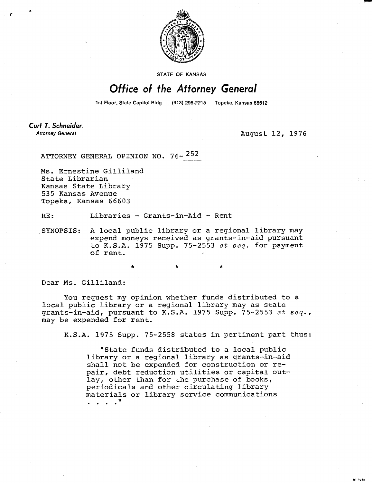

STATE OF KANSAS

## Office of the Attorney General

1st Floor, State Capitol Bldg. (913) 296-2215 Topeka, Kansas 66612

Curt T. Schneider. **Attorney General** 

August 12, 1976

ML1043

ATTORNEY GENERAL OPINION NO. 76-<sup>252</sup>

Ms. Ernestine Gilliland State Librarian Kansas State Library 535 Kansas Avenue Topeka, Kansas 66603

RE: Libraries - Grants-in-Aid - Rent

SYNOPSIS: A local public library or a regional library may expend moneys received as grants-in-aid pursuant to K.S.A. 1975 Supp.  $75-2553$  et seq. for payment of rent.

\* \*

Dear Ms. Gilliland:

You request my opinion whether funds distributed to a local public library or a regional library may as state grants-in-aid, pursuant to K.S.A. 1975 Supp. 75-2553 et seq., may be expended for rent.

K.S.A. 1975 Supp. 75-2558 states in pertinent part thus:

"State funds distributed to a local public library or a regional library as grants-in-aid shall not be expended for construction or repair, debt reduction utilities or capital outlay, other than for the purchase of books, periodicals and other circulating library materials or library service communications . . . .